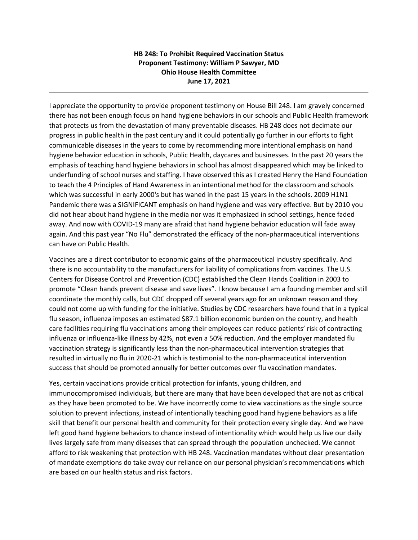## **HB 248: To Prohibit Required Vaccination Status Proponent Testimony: William P Sawyer, MD Ohio House Health Committee June 17, 2021**

I appreciate the opportunity to provide proponent testimony on House Bill 248. I am gravely concerned there has not been enough focus on hand hygiene behaviors in our schools and Public Health framework that protects us from the devastation of many preventable diseases. HB 248 does not decimate our progress in public health in the past century and it could potentially go further in our efforts to fight communicable diseases in the years to come by recommending more intentional emphasis on hand hygiene behavior education in schools, Public Health, daycares and businesses. In the past 20 years the emphasis of teaching hand hygiene behaviors in school has almost disappeared which may be linked to underfunding of school nurses and staffing. I have observed this as I created Henry the Hand Foundation to teach the 4 Principles of Hand Awareness in an intentional method for the classroom and schools which was successful in early 2000's but has waned in the past 15 years in the schools. 2009 H1N1 Pandemic there was a SIGNIFICANT emphasis on hand hygiene and was very effective. But by 2010 you did not hear about hand hygiene in the media nor was it emphasized in school settings, hence faded away. And now with COVID-19 many are afraid that hand hygiene behavior education will fade away again. And this past year "No Flu" demonstrated the efficacy of the non-pharmaceutical interventions can have on Public Health.

Vaccines are a direct contributor to economic gains of the pharmaceutical industry specifically. And there is no accountability to the manufacturers for liability of complications from vaccines. The U.S. Centers for Disease Control and Prevention (CDC) established the Clean Hands Coalition in 2003 to promote "Clean hands prevent disease and save lives". I know because I am a founding member and still coordinate the monthly calls, but CDC dropped off several years ago for an unknown reason and they could not come up with funding for the initiative. Studies by CDC researchers have found that in a typical flu season, influenza imposes an estimated \$87.1 billion economic burden on the country, and health care facilities requiring flu vaccinations among their employees can reduce patients' risk of contracting influenza or influenza-like illness by 42%, not even a 50% reduction. And the employer mandated flu vaccination strategy is significantly less than the non-pharmaceutical intervention strategies that resulted in virtually no flu in 2020-21 which is testimonial to the non-pharmaceutical intervention success that should be promoted annually for better outcomes over flu vaccination mandates.

Yes, certain vaccinations provide critical protection for infants, young children, and immunocompromised individuals, but there are many that have been developed that are not as critical as they have been promoted to be. We have incorrectly come to view vaccinations as the single source solution to prevent infections, instead of intentionally teaching good hand hygiene behaviors as a life skill that benefit our personal health and community for their protection every single day. And we have left good hand hygiene behaviors to chance instead of intentionality which would help us live our daily lives largely safe from many diseases that can spread through the population unchecked. We cannot afford to risk weakening that protection with HB 248. Vaccination mandates without clear presentation of mandate exemptions do take away our reliance on our personal physician's recommendations which are based on our health status and risk factors.